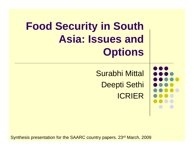# **Food Security in South Asia: Issues and Options**

Surabhi Mittal Deepti Sethi ICRIER

Synthesis presentation for the SAARC country papers. 23rd March, 2009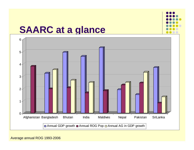

#### **SAARC at a glance**



Average annual ROG 1993-2006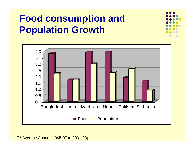## **Food consumption and Population Growth**



(% Average Annual- 1995-97 to 2001-03)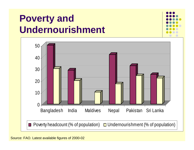### **Poverty and Undernourishment**

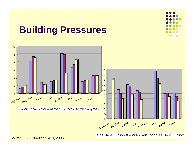#### **Building Pressures**



Source: FAO, 2009 and WDI, 2008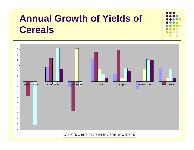### **Annual Growth of Yields of Cereals**

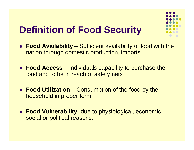#### **Definition of Food Security**

- **Food Availability** Sufficient availability of food with the nation through domestic production, imports
- **Food Access** Individuals capability to purchase the food and to be in reach of safety nets
- **Food Utilization** Consumption of the food by the household in proper form.
- **Food Vulnerability-** due to physiological, economic, social or political reasons.

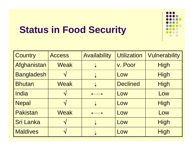## **Status in Food Security**

| <b>Country</b>    | <b>Access</b> | <b>Availability</b> | <b>Utilization</b> | <b>Vulnerability</b> |
|-------------------|---------------|---------------------|--------------------|----------------------|
| Afghanistan       | Weak          |                     | v. Poor            | <b>High</b>          |
| <b>Bangladesh</b> |               |                     | Low                | <b>High</b>          |
| <b>Bhutan</b>     | <b>Weak</b>   |                     | <b>Declined</b>    | <b>High</b>          |
| India             |               |                     | Low                | Low                  |
| <b>Nepal</b>      |               |                     | Low                | <b>High</b>          |
| <b>Pakistan</b>   | <b>Weak</b>   |                     | Low                | Low                  |
| <b>Sri Lanka</b>  |               |                     | Low                | High                 |
| <b>Maldives</b>   |               |                     | Low                | High                 |

DO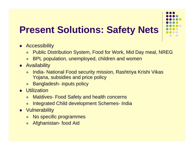## **Present Solutions: Safety Nets**

- **•** Accessibility
	- $\bullet$ Public Distribution System, Food for Work, Mid Day meal, NREG
	- $\bullet$ BPL population, unemployed, children and women
- Availability
	- $\bullet$  India- National Food security mission, Rashtriya Krishi Vikas Yojana, subsidies and price policy
	- $\bullet$ Bangladesh- inputs policy
- **•** Utilization
	- $\bullet$ Maldives- Food Safety and health concerns
	- $\bullet$ Integrated Child development Schemes- India
- Vulnerability
	- $\bullet$ No specific programmes
	- $\bullet$ Afghanistan- food Aid

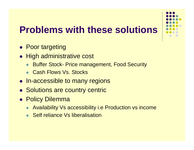

# **Problems with these solutions**

- Poor targeting
- High administrative cost
	- $\bullet$ Buffer Stock- Price management, Food Security
	- Cash Flows Vs. Stocks
- In-accessible to many regions
- Solutions are country centric
- Policy Dilemma
	- $\bullet$ Availability Vs accessibility i.e Production vs income
	- Self reliance Vs liberalisation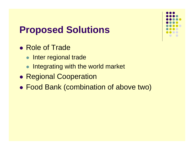#### **Proposed Solutions**

- Role of Trade
	- **Inter regional trade**
	- Integrating with the world market
- $\bullet$ **• Regional Cooperation**
- Food Bank (combination of above two)

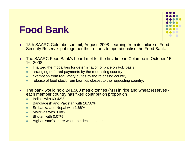#### **Food Bank**



- $\bullet$ 15th SAARC Colombo summit, August, 2008- learning from its failure of Food Security Reserve- put together their efforts to operationalise the Food Bank.
- $\bullet$  The SAARC Food Bank's board met for the first time in Colombo in October 15- 16, 2008
	- $\bullet$ finalized the modalities for determination of price on FoB basis
	- $\bullet$ arranging deferred payments by the requesting country
	- $\bullet$ exemption from regulatory duties by the releasing country
	- $\bullet$ release of food stock from facilities closest to the requesting country.
- O The bank would hold 241,580 metric tonnes (MT) in rice and wheat reserves each member country has fixed contribution proportion
	- $\bullet$ India's with 63.42%
	- $\bullet$ Bangladesh and Pakistan with 16.58%
	- $\bullet$ Sri Lanka and Nepal with 1.66%
	- $\bullet$ Maldives with 0.08%
	- $\bullet$ Bhutan with 0.07%
	- $\bullet$ Afghanistan's share would be decided later.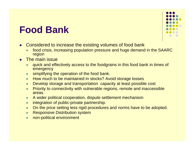#### **Food Bank**

- $\bullet$  Considered to increase the existing volumes of food bank
	- $\bullet$  food crisis, increasing population pressure and huge demand in the SAARC region
- $\bullet$  The main issue
	- $\bullet$  quick and effectively access to the foodgrains in this food bank in times of emergency
	- $\bullet$ simplifying the operation of the food bank.
	- $\bullet$ How much to be maintained in stocks? Avoid storage losses
	- $\bullet$ Develop storage and transportation capacity at least possible cost
	- $\bullet$  Priority to connectivity with vulnerable regions, remote and inaccessible areas.
	- $\bullet$ A wider political cooperation, dispute settlement mechanism
	- $\bullet$ integration of public-private partnership.
	- $\bullet$ On the price setting less rigid procedures and norms have to be adopted.
	- $\bullet$ Responsive Distribution system
	- $\bullet$ non-political environment

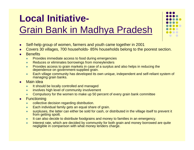# **Local Initiative-**

#### Grain Bank in Madhya Pradesh

- $\bullet$ Self-help group of women, farmers and youth came together in 2001
- o Covers 30 villages, 700 households- 85% households belong to the poorest section.
- $\bullet$ **Benefits** 
	- $\bullet$ Provides immediate access to food during emergencies
	- $\bullet$ Reduces or eliminates borrowings from moneylenders
	- $\bullet$  Provides access to grain markets in case of a surplus and also helps in reducing the dependence on government-supplied grain.
	- $\bullet$  Each village community has developed its own unique, independent and self-reliant system of managing grain banks.
- $\bullet$  Main idea
	- $\bullet$ It should be locally controlled and managed
	- $\bullet$ involves high level of community involvement
	- $\bullet$ Compulsory for the women to make up 50 percent of every grain bank committee
- $\bullet$ **Functioning** 
	- $\bullet$ collective decision regarding distribution.
	- $\bullet$ Each individual family gets an equal share of grain.
	- $\bullet$  surpluses, the latter can either be sold for cash, or distributed in the village itself to prevent it from getting spoilt.
	- $\bullet$ It can also decide to distribute foodgrains and money to families in an emergency.
	- $\bullet$  Interest rate, which are decided by community for both grain and money borrowed are quite negligible in comparison with what money lenders charge.

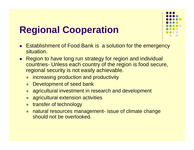# **Regional Cooperation**

- Establishment of Food Bank is a solution for the emergency situation.
- Region to have long run strategy for region and individual countries- Unless each country of the region is food secure, regional security is not easily achievable.
	- $\bullet$ increasing production and productivity
	- $\bullet$ Development of seed bank
	- $\bullet$ agricultural investment in research and development
	- $\bullet$ agricultural extension activities
	- $\bullet$ transfer of technology
	- $\bullet$  natural resources management- issue of climate change should not be overlooked.

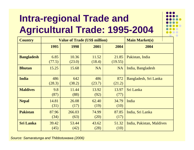# **Intra-regional Trade and Agricultural Trade: 1995-2004**



| <b>Country</b>    |                | <b>Value of Trade (US\$ million)</b> | <b>Main Market(s)</b> |                  |                           |
|-------------------|----------------|--------------------------------------|-----------------------|------------------|---------------------------|
|                   | 1995           | 1998                                 | 2001                  | 2004             | 2004                      |
| <b>Bangladesh</b> | 6.85<br>(77.5) | 10.36<br>(23.0)                      | 11.52<br>(18.4)       | 21.85<br>(19.55) | Pakistan, India           |
| <b>Bhutan</b>     | 15.25          | 15.68                                | <b>NA</b>             | <b>NA</b>        | India, Bangladesh         |
| <b>India</b>      | 486<br>(28.3)  | 642<br>(38.2)                        | 486<br>(23.7)         | 872<br>(21.2)    | Bangladesh, Sri Lanka     |
| <b>Maldives</b>   | 9.8<br>(87)    | 11.44<br>(88)                        | 13.92<br>(92)         | 13.97<br>(77)    | Sri Lanka                 |
| <b>Nepal</b>      | 14.81<br>(31)  | 26.08<br>(17)                        | 62.40<br>(19)         | 34.79<br>(10)    | India                     |
| <b>Pakistan</b>   | 87.96<br>(34)  | 266.03<br>(63)                       | 74.99<br>(20)         | 87.85<br>(17)    | India, Sri Lanka          |
| <b>Sri Lanka</b>  | 39.42<br>(45)  | 53.44<br>(42)                        | 43.62<br>(28)         | 51.32<br>(10)    | India, Pakistan, Maldives |

*Source: Samaratunga and Thibbotuwawa (2006)*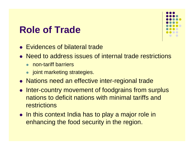#### **Role of Trade**

- Evidences of bilateral trade
- Need to address issues of internal trade restrictions
	- non-tariff barriers
	- joint marketing strategies.
- Nations need an effective inter-regional trade
- Inter-country movement of foodgrains from surplus nations to deficit nations with minimal tariffs and restrictions
- In this context India has to play a major role in enhancing the food security in the region.

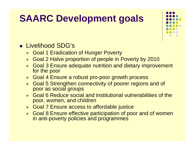### **SAARC Development goals**

![](_page_17_Figure_1.jpeg)

- Livelihood SDG's
	- Goal 1 Eradication of Hunger Poverty
	- $\bullet$ Goal 2 Halve proportion of people in Poverty by 2010
	- $\bullet$  Goal 3 Ensure adequate nutrition and dietary improvement for the poor
	- Goal 4 Ensure a robust pro-poor growth process
	- $\bullet$  Goal 5 Strengthen connectivity of poorer regions and of poor as social groups
	- Goal 6 Reduce social and institutional vulnerabilities of the poor, women, and children
	- Goal 7 Ensure access to affordable justice
	- $\bullet$  Goal 8 Ensure effective participation of poor and of women in anti-poverty policies and programmes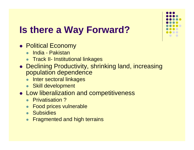# **Is there a Way Forward?**

- **Political Economy** 
	- **India Pakistan**
	- **•** Track II- Institutional linkages
- Declining Productivity, shrinking land, increasing population dependence
	- $\bullet$ Inter sectoral linkages
	- Skill development
- **Low liberalization and competitiveness** 
	- Privatisation?
	- $\bullet\;$  Food prices vulnerable
	- **Subsidies**
	- $\bullet$ Fragmented and high terrains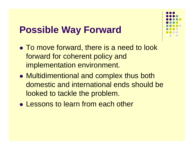#### **Possible Way Forward**

- To move forward, there is a need to look forward for coherent policy and implementation environment.
- Multidimentional and complex thus both domestic and international ends should be looked to tackle the problem.
- Lessons to learn from each other

![](_page_19_Figure_4.jpeg)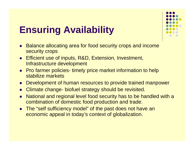# **Ensuring Availability**

- $\bullet$  Balance allocating area for food security crops and income security crops
- Efficient use of inputs, R&D, Extension, Investment, Infrastructure development
- Pro farmer policies- timely price market information to help stabilize markets
- $\bullet$ Development of human resources to provide trained manpower
- $\bullet$ Climate change- biofuel strategy should be revisited.
- $\bullet$  National and regional level food security has to be handled with <sup>a</sup> combination of domestic food production and trade.
- The "self sufficiency model" of the past does not have an economic appeal in today's context of globalization.

![](_page_20_Figure_8.jpeg)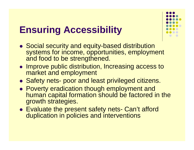#### **Ensuring Accessibility**

- Social security and equity-based distribution systems for income, opportunities, employment and food to be strengthened.
- Improve public distribution, Increasing access to market and employment
- Safety nets- poor and least privileged citizens.
- Poverty eradication though employment and human capital formation should be factored in the growth strategies.
- Evaluate the present safety nets- Can't afford duplication in policies and interventions

![](_page_21_Figure_6.jpeg)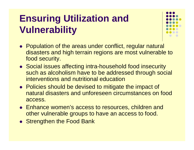# **Ensuring Utilization and Vulnerability**

![](_page_22_Figure_1.jpeg)

- Population of the areas under conflict, regular natural disasters and high terrain regions are most vulnerable to food security.
- Social issues affecting intra-household food insecurity such as alcoholism have to be addressed through social interventions and nutritional education
- Policies should be devised to mitigate the impact of natural disasters and unforeseen circumstances on food access.
- Enhance women's access to resources, children and other vulnerable groups to have an access to food.
- Strengthen the Food Bank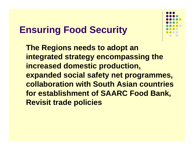#### **Ensuring Food Security**

![](_page_23_Figure_1.jpeg)

![](_page_23_Figure_2.jpeg)